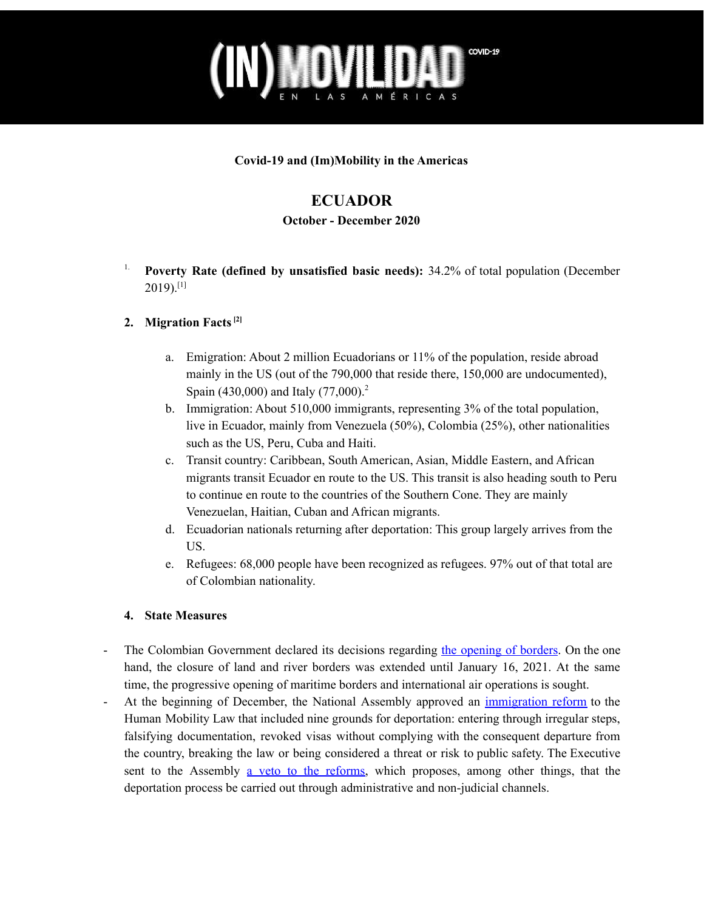## COVID-19

**Covid-19 and (Im)Mobility in the Americas**

### **ECUADOR**

### **October - December 2020**

1. **Poverty Rate (defined by unsatisfied basic needs):** 34.2% of total population (December  $2019)$ .[1]

### **2. Migration Facts [2]**

- a. Emigration: About 2 million Ecuadorians or 11% of the population, reside abroad mainly in the US (out of the 790,000 that reside there, 150,000 are undocumented), Spain (430,000) and Italy (77,000).<sup>2</sup>
- b. Immigration: About 510,000 immigrants, representing 3% of the total population, live in Ecuador, mainly from Venezuela (50%), Colombia (25%), other nationalities such as the US, Peru, Cuba and Haiti.
- c. Transit country: Caribbean, South American, Asian, Middle Eastern, and African migrants transit Ecuador en route to the US. This transit is also heading south to Peru to continue en route to the countries of the Southern Cone. They are mainly Venezuelan, Haitian, Cuban and African migrants.
- d. Ecuadorian nationals returning after deportation: This group largely arrives from the US.
- e. Refugees: 68,000 people have been recognized as refugees. 97% out of that total are of Colombian nationality.

### **4. State Measures**

- The Colombian Government declared its decisions regarding the [opening](https://www.eldiario.ec/noticias-manabi-ecuador/524838-colombia-extiende-el-cierre-de-fronteras-terrestres-hasta-el-16-de-enero-de-2021/) of borders. On the one hand, the closure of land and river borders was extended until January 16, 2021. At the same time, the progressive opening of maritime borders and international air operations is sought.
- At the beginning of December, the National Assembly approved an *[immigration](https://www.elcomercio.com/actualidad/asamblea-reforma-migratoria-deportacion-extranjeros.html) reform* to the Human Mobility Law that included nine grounds for deportation: entering through irregular steps, falsifying documentation, revoked visas without complying with the consequent departure from the country, breaking the law or being considered a threat or risk to public safety. The Executive sent to the Assembly a veto to the [reforms,](https://www.eluniverso.com/noticias/2020/12/30/nota/9117997/gobierno-propone-vigencia-pasaporte-diez-anos-veto-ley-movilidad/) which proposes, among other things, that the deportation process be carried out through administrative and non-judicial channels.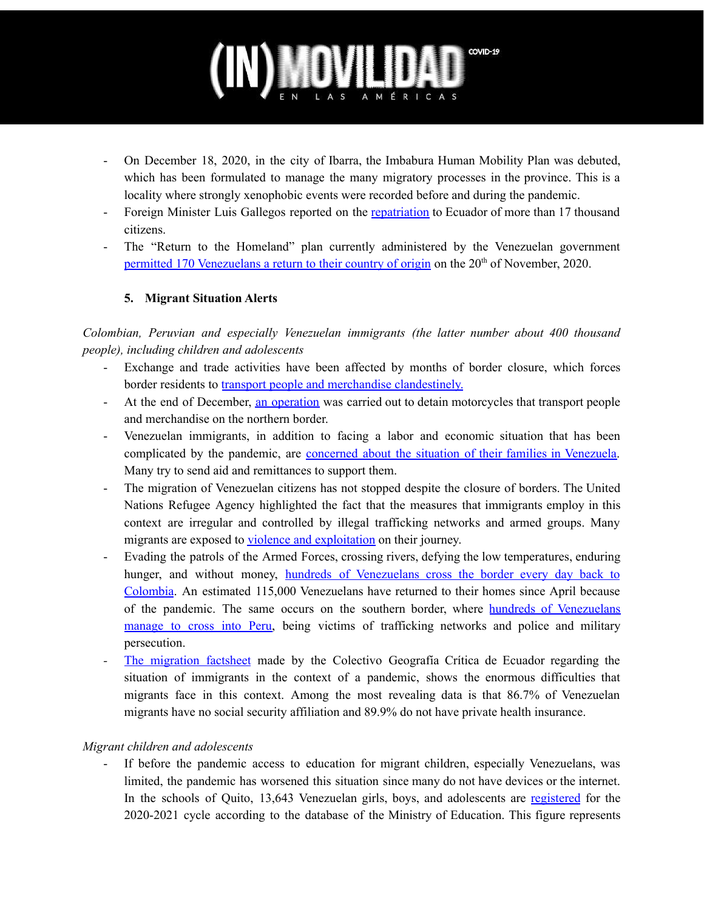# COVID-19

- On December 18, 2020, in the city of Ibarra, the Imbabura Human Mobility Plan was debuted, which has been formulated to manage the many migratory processes in the province. This is a locality where strongly xenophobic events were recorded before and during the pandemic.
- Foreign Minister Luis Gallegos reported on the [repatriation](https://www.elcomercio.com/actualidad/imbabura-plan-provincial-movilidad-estrategias.html) to Ecuador of more than 17 thousand citizens.
- The "Return to the Homeland" plan currently administered by the Venezuelan government permitted 170 [Venezuelans](https://www.elcomercio.com/actualidad/regreso-ciudadanos-venezolanos-vuelta-patria.html) a return to their country of origin on the 20<sup>th</sup> of November, 2020.

### **5. Migrant Situation Alerts**

*Colombian, Peruvian and especially Venezuelan immigrants (the latter number about 400 thousand people), including children and adolescents*

- Exchange and trade activities have been affected by months of border closure, which forces border residents to transport people and merchandise [clandestinely.](https://www.teleamazonas.com/varias-motocicletas-son-reportadas-como-robadas-en-ecuador-y-colombia/)
- At the end of December, an [operation](https://www.teleamazonas.com/varias-motocicletas-son-reportadas-como-robadas-en-ecuador-y-colombia/) was carried out to detain motorcycles that transport people and merchandise on the northern border.
- Venezuelan immigrants, in addition to facing a labor and economic situation that has been complicated by the pandemic, are concerned about the situation of their families in [Venezuela.](https://www.teleamazonas.com/venezolanos-que-migraron-buscan-la-forma-de-ayudar-a-sus-familias/) Many try to send aid and remittances to support them.
- The migration of Venezuelan citizens has not stopped despite the closure of borders. The United Nations Refugee Agency highlighted the fact that the measures that immigrants employ in this context are irregular and controlled by illegal trafficking networks and armed groups. Many migrants are exposed to violence and [exploitation](https://www.elcomercio.com/actualidad/personas-salida-venezuela-cierre-fronteras.html) on their journey.
- Evading the patrols of the Armed Forces, crossing rivers, defying the low temperatures, enduring hunger, and without money, hundreds of [Venezuelans](https://www.elcomercio.com/actualidad/cierre-frontera-colombia-migracion-venezolanos.html) cross the border every day back to [Colombia](https://www.elcomercio.com/actualidad/cierre-frontera-colombia-migracion-venezolanos.html). An estimated 115,000 Venezuelans have returned to their homes since April because of the pandemic. The same occurs on the southern border, where hundreds of [Venezuelans](https://www.ecuavisa.com/articulo/noticias/nacional/677386-aumenta-cruce-ilegal-ciudadanos-venezolanos) [manage](https://www.ecuavisa.com/articulo/noticias/nacional/677386-aumenta-cruce-ilegal-ciudadanos-venezolanos) to cross into Peru, being victims of trafficking networks and police and military persecution.
- *-* The [migration](http://www.geografiacriticaecuador.org/justiciamigrante) factsheet made by the Colectivo Geografía Crítica de Ecuador regarding the situation of immigrants in the context of a pandemic, shows the enormous difficulties that migrants face in this context. Among the most revealing data is that 86.7% of Venezuelan migrants have no social security affiliation and 89.9% do not have private health insurance.

### *Migrant children and adolescents*

If before the pandemic access to education for migrant children, especially Venezuelans, was limited, the pandemic has worsened this situation since many do not have devices or the internet. In the schools of Quito, 13,643 Venezuelan girls, boys, and adolescents are registered for the 2020-2021 cycle according to the database of the Ministry of Education. This figure represents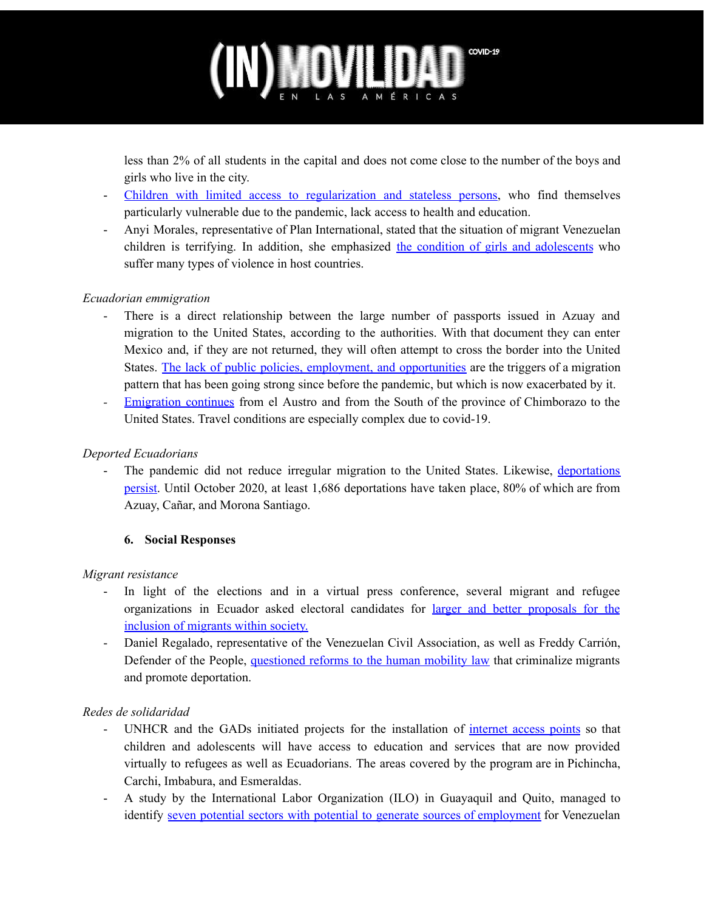## COVID-19

less than 2% of all students in the capital and does not come close to the number of the boys and girls who live in the city.

- Children with limited access to regularization and stateless persons, who find themselves particularly vulnerable due to the pandemic, lack access to health and education.
- Anyi Morales, representative of Plan International, stated that the situation of migrant Venezuelan children is terrifying. In addition, she emphasized the condition of girls and [adolescents](https://www.vistazo.com/seccion/actualidad-mundial/la-situacion-de-la-infancia-venezolana-migrante-es-aterradora-alerta-ong) who suffer many types of violence in host countries.

### *Ecuadorian emmigration*

- There is a direct relationship between the large number of passports issued in Azuay and migration to the United States, according to the authorities. With that document they can enter Mexico and, if they are not returned, they will often attempt to cross the border into the United States. The lack of public policies, employment, and [opportunities](https://www.eluniverso.com/noticias/2020/11/24/nota/8060335/interesados-pasaportes-cuenca-buscan-salir-pais-crisis-falta-empleo/) are the triggers of a migration pattern that has been going strong since before the pandemic, but which is now exacerbated by it.
- *-* [Emigration](https://www.elcomercio.com/actualidad/migracion-chimborazo-pandemia-coronavirus-ecuador.html) continues from el Austro and from the South of the province of Chimborazo to the United States. Travel conditions are especially complex due to covid-19.

### *Deported Ecuadorians*

The pandemic did not reduce irregular migration to the United States. Likewise, [deportations](https://www.eluniverso.com/noticias/2020/10/12/nota/8010610/pandemia-no-freno-migracion-ilegal-hacia-estados-unidos-ya-van-1686/) [persist.](https://www.eluniverso.com/noticias/2020/10/12/nota/8010610/pandemia-no-freno-migracion-ilegal-hacia-estados-unidos-ya-van-1686/) Until October 2020, at least 1,686 deportations have taken place, 80% of which are from Azuay, Cañar, and Morona Santiago.

### **6. Social Responses**

### *Migrant resistance*

- In light of the elections and in a virtual press conference, several migrant and refugee organizations in Ecuador asked electoral candidates for larger and better [proposals](https://ww2.elmercurio.com.ec/2020/12/18/comunidad-migrante-en-ecuador-pide-a-candidatos-electorales-mayor-inclusion/) for the [inclusion](https://ww2.elmercurio.com.ec/2020/12/18/comunidad-migrante-en-ecuador-pide-a-candidatos-electorales-mayor-inclusion/) of migrants within society.
- Daniel Regalado, representative of the Venezuelan Civil Association, as well as Freddy Carrión, Defender of the People, [questioned](https://www.elcomercio.com/actualidad/reforma-ley-movilidad-deportacion-ecuador.html) reforms to the human mobility law that criminalize migrants and promote deportation.

### *Redes de solidaridad*

- UNHCR and the GADs initiated projects for the installation of [internet](https://www.acnur.org/noticias/press/2020/11/5fc5e2514/acnur-y-autoridades-locales-instalan-de-zonas-de-internet-gratuito-en-ecuador.html) access points so that children and adolescents will have access to education and services that are now provided virtually to refugees as well as Ecuadorians. The areas covered by the program are in Pichincha, Carchi, Imbabura, and Esmeraldas.
- A study by the International Labor Organization (ILO) in Guayaquil and Quito, managed to identify seven potential sectors with potential to generate sources of [employment](https://www.eluniverso.com/noticias/2020/10/29/nota/8031334/migracion-refugiados-trabajo-empleo-ecuador-venezuela/) for Venezuelan